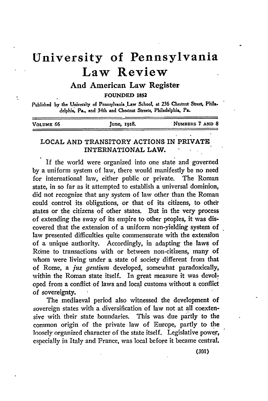# **University of Pennsylvania Law Review**

And American Law Register

**FOUNDED 1852**

Published by the University of Pennsylvania Law School, at 236 Chestnut Street, Phila**delphi. Pa.. and** 34th **and Chestnut Streets,** Philadelphia, **Pa.**

| VOLUME 66 | June, 1918. | NUMBERS 7 AND 8 |
|-----------|-------------|-----------------|
|           |             |                 |

## **LOCAL AND** TRANSITORY ACTIONS IN PRIVATE **INTERNATIONAL LAW.**

If the world were organized into one state and governed **by** a uniform system of law, there would manifestly be no need for international law, either public or private. The Roman state, in so far as it attempted to establish a universal dominion, did not recognize that any system of law other than the Roman could control its obligations, or that of its citizens, to other tates or the citizens of other states. But in the very process of extending the sway of its empire to other peoples, it was discovered that the extension of a uniform non-yielding system of law presented difficulties quite commensurate with the extension of a unique authority. Accordingly, in adapting the laws of Rome to transactions with or between non-citizens, many of whom were living under a state of society different from that of Rome, a *jus gentium* developed, somewhat paradoxically, within the Roman state itself. In great measure it was devoloped from a conflict of laws and local customs without a conflict of sovereignty.

The mediaeval period also witnessed the development of sovereign states with a diversification of law not at all coextensive with their state boundaries. This was due partly to the common origin of the private law of Europe, partly to the loosely organized character of the state itself. Legislative power, especially in Italy and France, was local before it became central.

**(301)**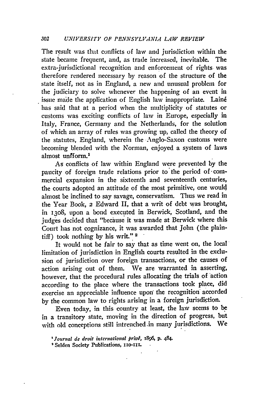The result was that conflicts of law and jurisdiction within the state became frequent, and, as trade increased, inevitable. The extra-jurisdictional recognition and enforcement of rights was therefore rendered necessary by reason of the structure of the state itself, not as in England, a new and unusual problem for the judiciary to solve whenever the happening of an event in issue made the application of English law inappropriate. Lainé has said that at a period when the multiplicity of statutes or customs was exciting conflicts of law in Europe, especially in Italy, France, Germany and the Netherlands, for the solution of which an array of rules was growing up, called the theory of the statutes, England, wherein the Anglo-Saxon customs were becoming blended with the Norman, enjoyed a system of laws almost unfform.<sup>1</sup>

As conflicts of law within England were prevented by the paucity of foreign trade relations prior to'the period of-commercial expansion in the sixteenth and seventeenth centuries, the courts adopted an attitude of the most primitive, one would almost be inclined to say savage, conservatism. Thus we read in the Year Book, 2 Edward II, that a writ of debt was brought, in **1308,** upon a bond executed in Berwick, Scotland, and the judges decided that "because it was made at Berwick where this Court has not cognizance, it was awarded that John (the plaintiff) took nothing by his writ." **<sup>2</sup>**

It would not be fair to say that as time went on, the local limitation of jurisdiction in English courts resulted in the exclusion of jurisdiction over foreign transactions, or the causes of action arising out of them. We are warranted in asserting, however, that the procedural rules allocating the trials of action according to the place where the transactions took place, did exercise an appreciable influence upon the recognition accorded by the common law to rights arising in a foreign jurisdiction.

Even today, in this country at least, the law seems to be in a transitory state, moving in the direction of progress, but with old conceptions still intrenched.in many jurisdictions. We

*<sup>&#</sup>x27;Journal de droit international priv ,* 1896 **p.** *484.*

<sup>&#</sup>x27;Selden Society Publications, *1xo-x1.*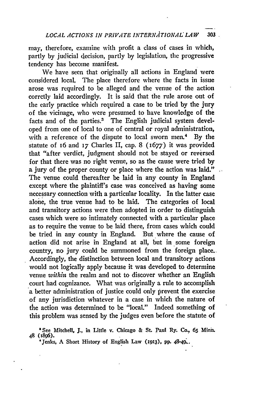may, therefore, examine with profit a class of cases in which, partly by judicial decision, partly by legislation, the progressive tendency has become manifest.

We have seen that originally all actions in England were considered local, The place therefore where the facts in issue arose was required to be alleged and the venue of the action corrctly laid accordingly. It is said that the rule arose out of the early practice which required a case to be tried by the jury of the vicinage, who were presumed to have knowledge of the facts and of the parties.3 The English judicial system developed from one of local to one of central or royal administration, with a reference of the dispute to local sworn men.4 By the statute of 16 and **17** Charles II, cap. 8 (i677) it was provided that "after verdict, judgment should not be stayed or reversed for that there was no right venue, so as the cause were tried **by** a jury of the proper county or place where the action was-laid." The venue could thereafter be laid in any county in England except where the plaintiff's case was conceived as having some necessary connection with a particular locality. In the latter case alone, the true venue had to be laid. The categories of local and transitory actions were then adopted in order to distinguish cases which were so intimately connected with a particular place as to require the venue to be laid there, from cases which could be tried in any county in England. But where the cause of action did not arise in England at all, but in some foreign country, no jury could be summoned from the foreign place.. Accordingly, the distinction between local and transitory actions would not logically apply because it was developed to determine venue *within* the realm and not to discover whether an English court had cognizance. What was originally a rule to accomplish a better administration of justice could only prevent the exercise of any jurisdiction whatever in a case in which the nature of the action was determined to be "local." Indeed something of this problem was sensed by the judges even before the statute of

<sup>8</sup> See Mitchell, **J.,** in Little v. Chicago & St. Paul Ry. Co., 6s **Mini. <sup>48</sup>**Af836). 'Jenks, A **Short History of** English *Law* **(rg9z3), pp.** 4S-49..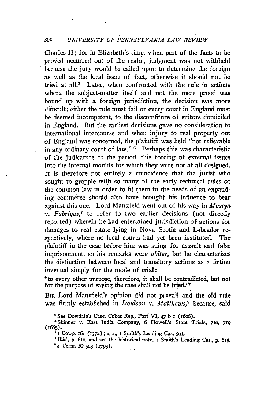#### *304 UNIVERSITY OF PENNSYLVANIA LAW REVIEW*

Charles **II;** for in Elizabeth's time, when part of the facts to be proved occurred out of the realn, judgment was not withheld because the jury would be called upon to determine the foreign as well as the local issue of fact, otherwise it should not be tried at all.<sup>5</sup> Later, when confronted with the rule in actions where the subject-matter itself and not the mere proof was bound up with a foreign jurisdiction, the decision was more difficult; either the rule must fail or every court in England must be deemed incompetent, to the discomfiture of suitors domiciled in England. But the earliest decisions gave no consideration to international intercourse and when injury to real property out of England was concerned, the plaintiff was held "not relievable in any ordinary court of law."<sup>6</sup> Perhaps this was characteristic of the judicature of the period, this forcing of external issues into the internal moulds for which they were .not at all designed. It is therefore not entirely a coincidence that the jurist who sought to grapple with so many of the early technical rules of the common law in order to fit them to the needs of an expanding commerce should also have brought his influence to bear against this one. Lord Mansfield went out of his way in *Mostyn v. Fabrigas,7* to refer to two earlier decisions (not directly reported) wherein he had entertained jurisdiction of actions for damages to real estate lying in Nova Scotia and Labrador respectively, where no local courts had yet been instituted. The plaintiff in the case before him was suing for assault and false imprisonment, so his remarks were *obiter,* but he characterizes the distinction between local and transitory actions at a fiction invented simply for the mode of trial:

"to every other purpose, therefore, it shall be contradicted, but not for the purpose of saying the case shall not be tried."8

But Lord Mansfield's opinion did not prevail and the old rule was firmly established in *Doulson v. Matthews,9* because, said

' See Dowdale's Case, Cokes Rep., Part VI, 47 b **x** (i6o6).

'Skinner v. East India Company, 6 Howell's State Trials, **710,** *119*

(166s). **<sup>f</sup>**i Cowp. 16r **(i774); s. c.,** i Smith's Leading Cas. **.59r.**

*\*Ibid.,* **p.** 6io, and see the historical note, i Smith's Leading Cas, p. 615. **\*4** Term. **W"** *503* .(793).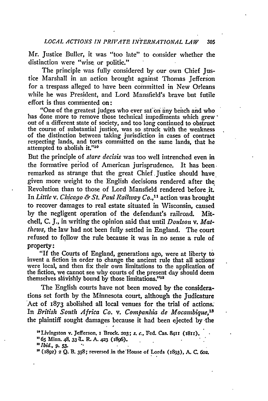Mr. Justice Buller, it was "too late" to consider whether the distinction were "wise or politic."

The principle was fully considered by our own Chief Justice Marshall in an action brought against Thomas Jefferson for a trespass alleged to have been committed in New Orleans while he was President, and Lord Mansfield's brave but futile effort is thus commented on:

"One of the greatest judges who ever sat on any bench and who has done more to remove those technical impediments which grew out of a different state of society, and too long continued to obstruct the course of substantial justice, was so struck with the weakness of the distinction between taking jurisdiction in cases of contract respecting lands, and torts committed on the same lands, that he attempted to abolish it."10

But the principle of *stare decisis* was too well intrenched even in the formative period of American jurisprudence. It has been remarked as strange that the great Chief Justice should have given more weight to the English decisions rendered after the Revolution than to those of Lord Mansfield rendered before it. In *Little v. Chicago & St. Paul Railway Co.,"1* action was brought to recover damages to real estate situated in Wisconsin, caused by the negligent operation of the defendant's railroad. Mitchell, C. **J.,** in writing the opinion said that until *Doulson v. Matthews,* the law had not been fully settled in England. The court refused to follow the rule because it was in no sense a rule of property:

"If the Courts of England, generations ago, were at liberty to invent a fiction in order to change the ancient rule that all actions were local, and then fix their own limitations to the application of the fiction, we cannot see why courts of the present day should deem themselves slavishly bound by those limitations."<sup>12</sup>

The English courts have not been moved by the considerations set forth by the Minnesota court, although the Judicature Act of  $1873$  abolished all local venues for the trial of actions. In *British South Africa Co. v. Companhia de Mocambique,13* the plaintiff sought damages because it had been ejected **by** -the

<sup>&</sup>quot;Livingston **v. Jefferson. x Brock. 2o3;** s. c., **Fed.** Cas. **84ir (x8r). " 65 Minn. 48,** 33 **L-** *R.* **A. 423 (x896).**

<sup>&</sup>lt;sup>12</sup>*Ibid.*, p. 53.

**<sup>(1892)</sup>** 2 **Q. B. 358; reversed in the House of Lords (z893), A. C. 6o2.**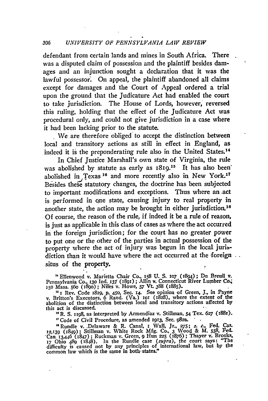#### **<sup>306</sup>***UNIVERSITY OF PENNSYLVANIA LAW REVIEW*

defendant from certain lands and mines in South Africa. There was a disputed claim of possession and the plaintiff besides damages and an injunction sought a declaration that it was the lawful possessor. On appeal, the plaintiff abandoned all claims except for damages and the Court of Appeal ordered a trial upon the ground that the Judicature Act had enabled the court to take jurisdiction. The House of Lords, however, reversed this ruling, holding that the effect of the Judicature Act was procedural only, and could not give jurisdiction in a case where it had been lacking prior to the statute.

We are therefore obliged to accept the distinction between local and transitory actions as still in effect in England, as indeed it is the preponderating rule also in the United States.<sup>14</sup>

In Chief Justice Marshall's own state of Virginia, the rule was abolished by statute as early as 1819.<sup>15</sup> It has also been' abolished in Texas<sup>16</sup> and more recently also in New York.<sup>17</sup> Besides these statutory changes, the doctrine has been subjected to important modifications and exceptions. Thus where an .act is performed in one state, causing injury to real property in another state, the action may be brought in either jurisdiction.<sup>18</sup> Of course, the reason of the rule, if indeed it be a rule of reason, is just as applicable in this class of cases as where the act occurred in the foreign jurisdiction; for the court has no greater power to put one or the other of the parties in actual possession of the property where the act of injury was begun in the local jurisdiction than it would have where the act occurred at the foreign  $\ldots$ situs of the property.

<sup>14</sup> Ellenwood v. Marietta Chair Co., 158 U. S. 107 (1894); Du Breuil v.<br>Pennsylvania Co., 130 Ind. 137 (1891); Allin v. Connecticut River Lumber Co.,<br>150 Mass. 560 (1890); Niles v. Howe, 57 Vt. 388 (1885).

<sup>14</sup> I Rev. Code 1819, p. 450, Sec. 14. See opinion of Green, J., in Payne v. Britton's Executors, 6 Rand. (Va.) 101 (1828), where the extent of the abolition of the distinction between local and transitory actions affected **by** this act is discussed.

**11** R. S. iz98, as interpreted **by** Armendiaz v. Stillman, **54** Tex. **627 (r88x).**

"Code of Civil Procedure, as amended **1913,** Sec. 982a.

'Rundle v. •Delaware & R. Canal, i Wall, Jr., *275; s. c.,* Fed. **Cas. 12,139** (z849); Stillman v. White Rock **Mfg.** Co., **3** Wood & M. 538, Fed. Cas. 13,446 (1847); Ruckman v. Green, 9 Hun 225 (1876); Thayer v. Brooks, 17 Ohio 489 (1848). In the Rundle case (supra), the court says: "The difficulty is caused not by any principles of international law, but by the co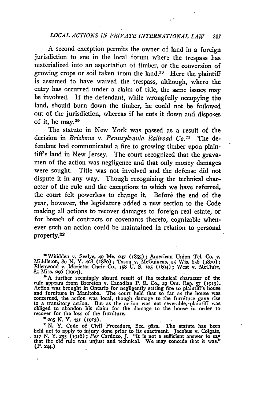### *LOCAL ACTIONS IN PRIVATE INTERNATIONAL LAW* **<sup>307</sup>**

A second exception permits the owner of land in a foreign jurisdiction to sue in the local forum where the trespass has materialized into an asportation of timber, or the conversion of growing crops or soil taken from the land.<sup>10</sup> Here the plaintiff is assumed to have waived the trespass, although, where the entry has occurred under a claim of title, the same issues may be involved. If the defendant, while wrongfully occupying the land, should burn down the timber, he could not be foilowed out of the jurisdiction, whereas if he cuts it down and disposes of it, he may.<sup>20</sup>

The statute in New York was passed as a result of the decision in *Brisbane v. Pennsylvania Railroad Co.21* The defendant had communicated a fire to growing timber upon plaintiff's land in New Jersey. The court recognized that the gravamen of the action was negligence and that only money damages were sought. Title was not involved and the defense did not dispute it in any way. Though recognizing the technical character of the rule and the exceptions to which we have referred, the court felt powerless to change it. Before the end of the year, however, the legislature added a new section to the Code making all actions to recover damages to foreign real estate, or for breach of contracts or covenants thereto, cognizable whenever such an action could be maintained in relation to personal property.22

" Whidden v. Seelye, 40 Me. 247 (1855); American Union Tel. Co. v.<br>Middleton, 80 N. Y. 408 (1880); Tyson v. McGuineas, 25 Wis. 656 (1870);<br>Ellenwood y. Marietta Chair Co., 158 U. S. 105 (1894); West v. McClure, 8S Miss. 296 **(1904).**

**"GA** further seemingly absurd result of the technical character of the rule appears from Brereton v. Canadian P. R. Co., **29** Ont. Rep. **57 (1913).** Action was brought in Ontario for negligently setting fire to plaintiff's house and furniture in Manitoba. The court held that so far as the house was concerned, the action was local, though damage to the furniture gave rise to a transitory action. But as the action was not severable, plaintiff was obliged to abandon his claim for the damage to the house in order to recover for the loss of the furniture.

**205 N. Y. 431 (1913).**

**' <sup>2</sup> N.** Y. Code of Civil Procedure, Sec. 982a. The statute has been held not to apply to injury done prior to its enactment. Jacobus v. Colgate, 217 N. Y. 235 (1916); Per Cardozo, J. "It is not a sufficient answer to say that the old rule was unjust and technical. We may concede that it wa (P. 244.)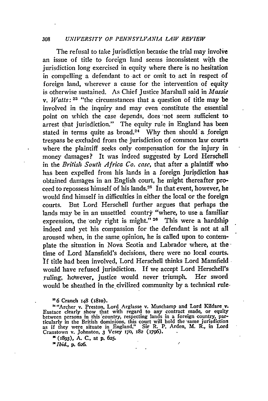#### 308 *UNIVERSITY OF PENNSYLVANIA LAW REVIEW*

The refusal to take jurisdiction because the trial may involve an issue of title to foreign land seems inconsistent with the jurisdiction long exercised in equity where there is no hesitation in compelling a defendant to act or omit to act in respect of foreign land, wherever a cause for the intervention of equity is otherwise sustained. As Chief Justice Marshall said in *Massie v. Watts:* **23** "the circumstances that a question of title may be involved in the inquiry and may even constitute the essential point on which the case depends, does "not seem sufficient to arrest that jurisdiction." The equity rule in England has been stated in terms quite as broad.<sup>24</sup> Why then should a foreign trespass be excluded from the jurisdiction of common law courts where the plaintiff seeks only compensation for the injury in money damages? It was indeed suggested by Lord Herschell in the *British. South Africa Co. case,* that after a plaintiff who has been expelled from his lands in a foreign jurisdiction has obtained damages in an English court, he might thereafter proceed to repossess himself of his lands.<sup>25</sup> In that event, however, he would find himself in difficulties in either the local or the foreign courts. But Lord Herschell further argues that perhaps the lands may be in an unsettled country "where, to use a familiar expression, the only right is might."<sup>26</sup> This were a hardship indeed and yet his compassion for the defendant is not at all aroused when, in the same opinion, he is called upon to contemplate the situation in Nova Scotia and Labrador where, at thetime of Lord Mansfield's decisions, there were no local courts. **If** title had been involved, Lord Herschell thinks Lord Mansfield would have refused jurisdiction. **If** we accept Lord Hersehell's ruling, holwever, justice would never triumph. Her sword would be sheathed in the civilized community by a technical rule.

<sup>22</sup>6 Cranch 148 (1810).

**"** "Archer v. Preston, Lord Arglasse v. Muschamp and Lord Kildare v. Eustace clearly show that with regard to any contract made, or equity between persons in this 'country, respecting lands in a foreign country, particularly in the British dominions, this court will hold the -same jurisdiction as if they were situate in England." Sir R. P. Arden, M. R., in Lord Cranstown v. Johnston, **3** Vesey r;'o, **182 (1796).**

ź

( **x893), A. C.,** at **p.** 625.

*"Ibid.,* **p. 626.**